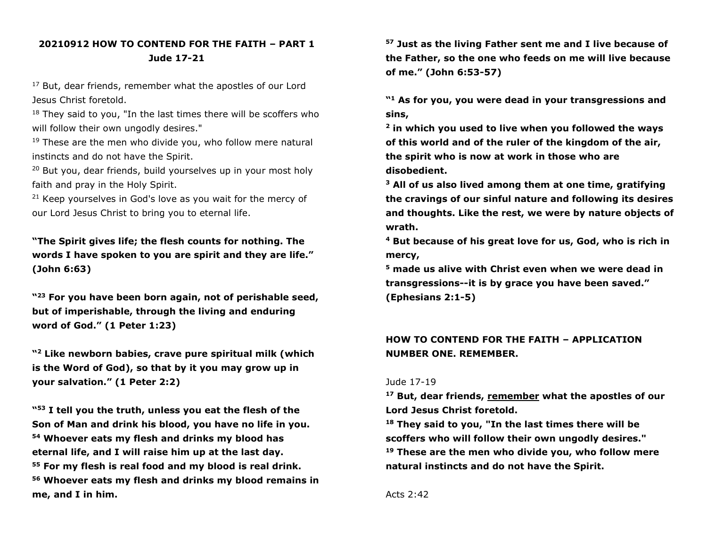## **20210912 HOW TO CONTEND FOR THE FAITH – PART 1 Jude 17-21**

<sup>17</sup> But, dear friends, remember what the apostles of our Lord Jesus Christ foretold.

 $18$  They said to you, "In the last times there will be scoffers who will follow their own ungodly desires."

 $19$  These are the men who divide you, who follow mere natural instincts and do not have the Spirit.

<sup>20</sup> But you, dear friends, build yourselves up in your most holy faith and pray in the Holy Spirit.

 $21$  Keep yourselves in God's love as you wait for the mercy of our Lord Jesus Christ to bring you to eternal life.

**"The Spirit gives life; the flesh counts for nothing. The words I have spoken to you are spirit and they are life." (John 6:63)**

**" <sup>23</sup> For you have been born again, not of perishable seed, but of imperishable, through the living and enduring word of God." (1 Peter 1:23)**

**" <sup>2</sup> Like newborn babies, crave pure spiritual milk (which is the Word of God), so that by it you may grow up in your salvation." (1 Peter 2:2)**

**" <sup>53</sup> I tell you the truth, unless you eat the flesh of the Son of Man and drink his blood, you have no life in you. <sup>54</sup> Whoever eats my flesh and drinks my blood has eternal life, and I will raise him up at the last day. <sup>55</sup> For my flesh is real food and my blood is real drink. <sup>56</sup> Whoever eats my flesh and drinks my blood remains in me, and I in him.**

**<sup>57</sup> Just as the living Father sent me and I live because of the Father, so the one who feeds on me will live because of me." (John 6:53-57)**

**" <sup>1</sup> As for you, you were dead in your transgressions and sins,**

**2 in which you used to live when you followed the ways of this world and of the ruler of the kingdom of the air, the spirit who is now at work in those who are disobedient.**

**<sup>3</sup> All of us also lived among them at one time, gratifying the cravings of our sinful nature and following its desires and thoughts. Like the rest, we were by nature objects of wrath.**

**<sup>4</sup> But because of his great love for us, God, who is rich in mercy,**

**<sup>5</sup> made us alive with Christ even when we were dead in transgressions--it is by grace you have been saved." (Ephesians 2:1-5)**

## **HOW TO CONTEND FOR THE FAITH – APPLICATION NUMBER ONE. REMEMBER.**

#### Jude 17-19

**<sup>17</sup> But, dear friends, remember what the apostles of our Lord Jesus Christ foretold.**

**<sup>18</sup> They said to you, "In the last times there will be scoffers who will follow their own ungodly desires." <sup>19</sup> These are the men who divide you, who follow mere natural instincts and do not have the Spirit.**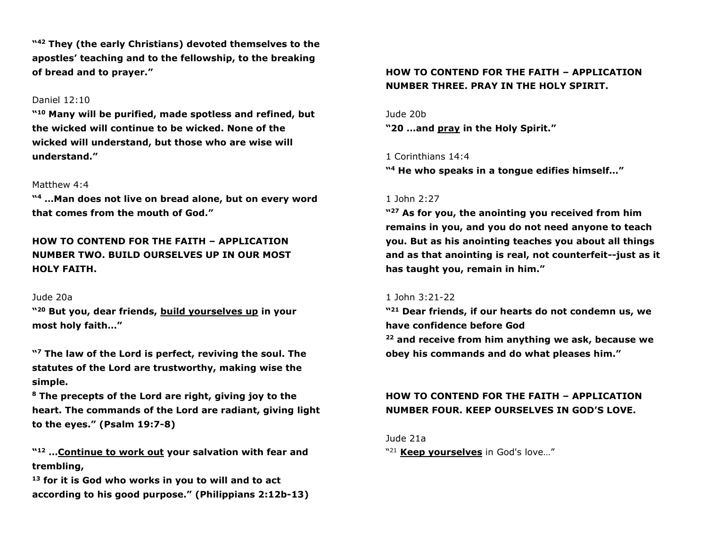**" <sup>42</sup> They (the early Christians) devoted themselves to the apostles' teaching and to the fellowship, to the breaking of bread and to prayer."**

### Daniel 12:10

**" <sup>10</sup> Many will be purified, made spotless and refined, but the wicked will continue to be wicked. None of the wicked will understand, but those who are wise will understand."**

#### Matthew 4:4

**" <sup>4</sup> …Man does not live on bread alone, but on every word that comes from the mouth of God."**

**HOW TO CONTEND FOR THE FAITH – APPLICATION NUMBER TWO. BUILD OURSELVES UP IN OUR MOST HOLY FAITH.**

#### Jude 20a

**" <sup>20</sup> But you, dear friends, build yourselves up in your most holy faith…"**

**" <sup>7</sup> The law of the Lord is perfect, reviving the soul. The statutes of the Lord are trustworthy, making wise the simple.**

**<sup>8</sup> The precepts of the Lord are right, giving joy to the heart. The commands of the Lord are radiant, giving light to the eyes." (Psalm 19:7-8)**

**" <sup>12</sup> …Continue to work out your salvation with fear and trembling,**

**<sup>13</sup> for it is God who works in you to will and to act according to his good purpose." (Philippians 2:12b-13)**

### **HOW TO CONTEND FOR THE FAITH – APPLICATION NUMBER THREE. PRAY IN THE HOLY SPIRIT.**

#### Jude 20b

**"20 …and pray in the Holy Spirit."**

#### 1 Corinthians 14:4

**" <sup>4</sup> He who speaks in a tongue edifies himself…"** 

#### 1 John 2:27

**" <sup>27</sup> As for you, the anointing you received from him remains in you, and you do not need anyone to teach you. But as his anointing teaches you about all things and as that anointing is real, not counterfeit--just as it has taught you, remain in him."**

### 1 John 3:21-22

**" <sup>21</sup> Dear friends, if our hearts do not condemn us, we have confidence before God**

**<sup>22</sup> and receive from him anything we ask, because we obey his commands and do what pleases him."**

### **HOW TO CONTEND FOR THE FAITH – APPLICATION NUMBER FOUR. KEEP OURSELVES IN GOD'S LOVE.**

Jude 21a

" <sup>21</sup> **Keep yourselves** in God's love…"